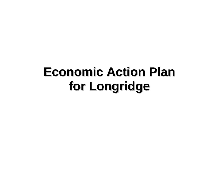## **EconomcActonPan**\_\_\_\_\_\_\_\_ **iAIAA i lforLongrdgei**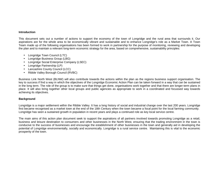## **Introduction**

This document sets out a number of actions to support the economy of the town of Longridge and the rural area that surrounds it. Our aspirations are for the whole area to be economically vibrant and sustainable and to enhance Longridge's role as a Market Town. A Town Team made up of the following organisations has been formed to work in partnership for the purpose of monitoring, reviewing and developing the plan and to maintain a relevant long-term economic strategy for the area, based on comprehensive, sustainability principles:

- Longridge Town Council (LTC)
- Longridge Business Group (LBG)
- Longridge Social Enterprise Company (LSEC)
- Longridge Partnership (LP)
- Lancashire County Council (LCC)
- Ribble Valley Borough Council (RVBC)

Business Link North West (BLNW) will also contribute towards the actions within the plan as the regions business support organisation. The key to success if find a way in which the objectives of the Longridge Economic Action Plan can be taken forward in a way that can be sustained in the long term. The role of the group is to make sure that things get done, organisations work together and that there are longer-term plans in place. It will also bring together other local groups and public agencies as appropriate to work in a coordinated and focussed way towards achieving its objectives.

## **Background**

Longridge is a major settlement within the Ribble Valley. It has a long history of social and industrial change over the last 200 years. Longridge first became recognised as a market town at the end of the 18th Century when the town became a focal point for the local farming community. Longridge has seen a sustained growth in population in recent years and plays a continued role as key local service centre.

The main aims of this action plan document seek to support the aspirations of all partners involved towards promoting Longridge as a retail, business and leisure destination to consumers and other businesses in the North West, ensuring that the trading environment in the town is conducive to the success of businesses and encourage the establishment of other businesses in the town and generally aid in developing the potential of Longridge environmentally, socially and economically. Longridge is a rural service centre. Maintaining this is vital to the economic prosperity of the town.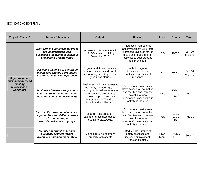## ECONOMIC ACTION PLAN: -

| Project / Theme 1                                                                     | <b>Actions / Activities</b>                                                                                                               | <b>Outputs</b>                                                                                                                                                                                                           | Reason                                                                                                                                                           | Lead         | <b>Others</b>              | <b>Times</b>        |
|---------------------------------------------------------------------------------------|-------------------------------------------------------------------------------------------------------------------------------------------|--------------------------------------------------------------------------------------------------------------------------------------------------------------------------------------------------------------------------|------------------------------------------------------------------------------------------------------------------------------------------------------------------|--------------|----------------------------|---------------------|
| <b>Supporting and</b><br>sustaining new and<br>existing<br>businesses in<br>Longridge | <b>Work with the Longridge Business</b><br><b>Group strengthen local</b><br>businesses involvement, activities<br>and increase membership | Increase current membership<br>of LBG from 44 to 75 by<br>December 2010.                                                                                                                                                 | Increased membership<br>and involvement will create<br>increased revenues for the<br>group and enable greater<br>activities to support trade<br>and promotion.   | <b>LBG</b>   | <b>RVBC</b>                | $Jun-10$<br>ongoing |
|                                                                                       | Develop a database of Longridge<br>businesses and the surrounding<br>area for communication purposes                                      | Regular updates on business<br>support, activities and events<br>in Longridge and to promote<br>good news stories.                                                                                                       | So that Longridge<br>businesses can be<br>contacted on issues of<br>relevance                                                                                    | <b>LBG</b>   | <b>RVBC</b>                | $Jun-10$<br>ongoing |
|                                                                                       | Establish a business support hub<br>in the centre of Longridge within<br>the refurbished Station Buildings.                               | Businesses will have access to<br>the facility for meetings, hot<br>desking and small conferences<br>and seminars provided by<br>business support providers.<br>Presentation, ICT and fast<br>Broadband facilities also. | So that local businesses<br>have access to information<br>and facilities and increase<br>potential of new<br>investors/business start up<br>activity in the area | <b>LSEC</b>  | RVBC/<br>LCC/<br><b>BL</b> | Aug-10              |
|                                                                                       | Increase the provision of business<br>support. Plan and deliver a series<br>of business support<br>events/activities in Longridge.        | Establish and produce a<br>calendar of business support<br>events for 2010/2011                                                                                                                                          | So that local businesses<br>have access to information<br>and facilities and increase<br>potential of new<br>investors/business start up<br>activity in the area | <b>RVBC</b>  | LBG/<br>LCC/<br><b>BL</b>  | Aug-10              |
|                                                                                       | <b>Identify opportunities for new</b><br>business, promote inward<br>investment and monitor empty or                                      | Joint marketing of empty<br>property with agents                                                                                                                                                                         | Reduce the number of<br>empty premises and<br>increase employment,<br>trade and footfall.                                                                        | Town<br>Team | RVBC/<br><b>LEP</b>        | Sep-10              |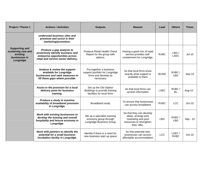| Project / Theme 1                                                                     | <b>Actions / Activities</b>                                                                                                              | <b>Outputs</b>                                                                                  | Reason                                                                                                            | Lead        | <b>Others</b>        | <b>Times</b>  |
|---------------------------------------------------------------------------------------|------------------------------------------------------------------------------------------------------------------------------------------|-------------------------------------------------------------------------------------------------|-------------------------------------------------------------------------------------------------------------------|-------------|----------------------|---------------|
|                                                                                       | underused business sites and<br>premises and assist in their<br>marketing/promotion.                                                     |                                                                                                 |                                                                                                                   |             |                      |               |
| <b>Supporting and</b><br>sustaining new and<br>existing<br>businesses in<br>Longridge | Produce a gap analysis to<br>proactively identify business and<br>enterprise opportunities across<br>retail and service sector delivery. | Produce Retail Health Check<br>Report for the group with<br>options.                            | Having a good mix of retail<br>service provides self-<br>containment for Longridge.                               | <b>RVBC</b> | LBG/<br><b>LSEC</b>  | <b>Jul-10</b> |
|                                                                                       | Analyse & review the support<br>available for Longridge<br>businesses and seek measures to<br>fill these gaps where possible.            | Put together a business<br>support portfolio for Longridge<br>firms and develop as<br>necessary | So that local firms know<br>exactly what support is<br>available to them                                          | <b>BLNW</b> | RVBC/<br><b>LBG</b>  | Sep-10        |
|                                                                                       | Assist in the provision for a local<br>delivery point for business<br>training.                                                          | Set up the Old Station<br>Buildings to provide training<br>facilities for local firms           | So that local firms can<br>access information                                                                     | <b>LSEC</b> | RVBC/<br>BL          | Aug-10        |
|                                                                                       | Produce a study to examine<br>availability of broadband provision<br>in Longridge.                                                       | Broadband study                                                                                 | To ensure that businesses<br>can access broadband                                                                 | <b>RVBC</b> | <b>LCC</b>           | Oct-10        |
|                                                                                       | Work with existing businesses to<br>develop the evening and overall<br>hospitality and leisure economy in<br>Longridge.                  | Set up a specialist evening<br>economy group through<br>Longridge Business Group                | So that they can develop<br>ideas, arrange joint<br>marketing and pool<br>resources to strengthen<br>their offer. | <b>LBG</b>  | RVBC/<br><b>LBG</b>  | Sep - 10      |
|                                                                                       | Work with partners to identify the<br>potential for a small business<br>incubation facility in Longridge.                                | Identify if there is a need for<br>new business start up space                                  | So that potential new<br>businesses can access<br>affordable accommodation                                        | <b>LCC</b>  | LSEC/<br><b>RVBC</b> | Oct-10        |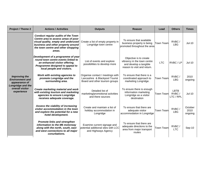| <b>Project / Theme 2</b>                                                                                              | <b>Actions / Activities</b>                                                                                                                                                                                   | <b>Outputs</b>                                                                                       | <b>Reason</b>                                                                                                  | Lead             | <b>Others</b>                     | <b>Times</b>               |
|-----------------------------------------------------------------------------------------------------------------------|---------------------------------------------------------------------------------------------------------------------------------------------------------------------------------------------------------------|------------------------------------------------------------------------------------------------------|----------------------------------------------------------------------------------------------------------------|------------------|-----------------------------------|----------------------------|
| <b>Improving the</b><br><b>Environment and</b><br>appearance of<br>Longridge and the<br>overall visitor<br>experience | <b>Conduct regular audits of the Town</b><br>Centre area to assess areas of poor<br>visual quality, empty and underused<br>business and other property around<br>the town centre and other shopping<br>areas. | Create a list of empty property in<br>Longridge town centre                                          | To ensure that available<br>business property is being<br>promoted throughout the area                         | <b>Town Team</b> | RVBC/<br><b>LBG</b>               | $Jul-10$                   |
|                                                                                                                       | Development of a programme of year<br>round town centre events linked to<br>an enhanced visitor offering.<br>Programme designed to appeal to<br>local people and visitors.                                    | List of events and explore<br>possibilities to develop more                                          | Objective is to create<br>vibrancy in the town centre<br>and develop a tangible<br>reason to visit and return. | <b>LTC</b>       | RVBC/LP                           | $Jul-10$                   |
|                                                                                                                       | Work with existing agencies to<br>promote Longridge and the<br>surrounding area.                                                                                                                              | Organise contact / meetings with<br>Lancashire & Blackpool Tourist<br>Board and other tourism groups | To ensure that there is a<br>coordinated approach to<br>marketing Longridge.                                   | <b>Town Team</b> | RVBC/<br><b>LBG</b>               | 2010<br>ongoing            |
|                                                                                                                       | Create marketing material and work<br>with existing tourism and marketing<br>agencies to ensure Longridge<br>receives adequate coverage.                                                                      | Detailed list of<br>marketing/promotional activities<br>and there sources                            | To ensure there is enough<br>information marketing<br>Longridge as a visitor<br>destination                    | Town Team        | <b>LBTB</b><br>RVBC/<br>LTC / RPL | $Jul-10$                   |
|                                                                                                                       | Assess the viability of increasing<br>visitor accommodation in the town<br>and explore the potential for a new<br>hotel development.                                                                          | Create and maintain a list of<br>holiday accommodation in<br>Longridge                               | To ensure that there are<br>adequate visitor<br>accommodation in Longridge                                     | <b>Town Team</b> | RVBC/<br><b>LBG</b>               | October<br>2010<br>ongoing |
|                                                                                                                       | <b>Promote links and strengthen</b><br>information to the M6 motorway<br>along with the north, south, east<br>and west connections to all major<br>conurbations.                                              | Examine current signage and<br>potential additional sites with LCC<br>and Highways Agency            | To ensure that there are<br>adequate directions to the<br>area from major transport<br>routes                  | <b>Town Team</b> | RVBC/<br><b>LTC</b>               | Sep-10                     |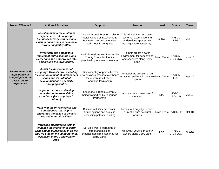| Project / Theme 2                                                                                    | <b>Actions / Activities</b>                                                                                                                                                              | <b>Outputs</b>                                                                                                                   | <b>Reason</b>                                                                                                   | Lead                | <b>Others</b>       | Times         |
|------------------------------------------------------------------------------------------------------|------------------------------------------------------------------------------------------------------------------------------------------------------------------------------------------|----------------------------------------------------------------------------------------------------------------------------------|-----------------------------------------------------------------------------------------------------------------|---------------------|---------------------|---------------|
|                                                                                                      | Assist in raising the customer<br>experience in all Longridge<br>businesses. Work with new and<br>existing businesses to develop a<br>strong hospitality offer.                          | Arrange through Preston College<br>Retail Centre of Excellence &<br><b>Business Link customer care</b><br>workshops in Longridge | This will focus on improving<br>customer experience and<br>undertaking appropriate<br>training where necessary. | <b>BLNW</b>         | RVBC/<br><b>LBG</b> | $Jul-10$      |
|                                                                                                      | Investigate the potential to<br>implement traffic calming along<br>Berry Lane and other routes into<br>and around the town centre.                                                       | Hold discussions with Lancashire<br>County Council to identify<br>possible improvement measures                                  | To help create a safer<br>environment for pedestrians<br>and shoppers along Berry<br>Lane                       | <b>Town Team</b>    | RVBC/<br>LTC / LCC  | <b>Nov-10</b> |
| <b>Environment and</b><br>appearance of<br><b>Longridge and the</b><br>overall visitor<br>experience | Assist the development of<br><b>Longridge Town Centre, including</b><br>the encouragement of independent<br>shops and its potential<br>development as a specialty<br>shopping centre.    | LBG to identify opportunities for<br>new business creation to enhance<br>the current retail offer in<br>Longridge town centre    | To assist the creation of an<br>attractive retail mix in the townTown Team<br>centre                            |                     | RVBC/<br><b>LBG</b> | Sept-10       |
|                                                                                                      | Support partners to develop<br>activities to improve visitor<br>experience (i.e. Longridge in<br><b>Bloom</b> )                                                                          | Longridge in Bloom currently<br>being worked on by Longridge<br>Partnership                                                      | Improve the appearance of<br>the area.                                                                          | <b>LTC</b>          | RVBC/<br>LBG/LP     | $Jul-10$      |
|                                                                                                      | Work with the private sector and<br><b>Longridge Partnership to</b><br>encourage the usage of Leisure<br>arts and cultural facilities.                                                   | Discuss with Cinema owners<br>future options and assist in<br>accessing potential funding                                        | To ensure Longridge retains<br>current leisure / cultural<br>facilities                                         | Town Team RVBC / LP |                     | $Oct-10$      |
|                                                                                                      | Introduce measures to further<br>enhance the character of Berry<br>Lane and its buildings such as the<br>old Fire Station, including potential<br>expansion of the Conservation<br>Area. | Set up a work programme of<br>street and building<br>enhancements/maintenance for<br>Berry Lane.                                 | Work with existing property<br>owners along Berry Lane                                                          | <b>LCC</b>          | RVBC/<br>LTC / LCC  | $Oct-10$      |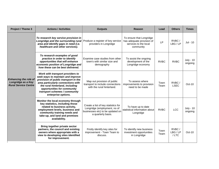| Project / Theme 3                                                                 | <b>Actions / Activities</b>                                                                                                                                                                                                                                                   | <b>Outputs</b>                                                                                                                | Reason                                                                                      | Lead         | <b>Others</b>             | <b>Times</b>                |
|-----------------------------------------------------------------------------------|-------------------------------------------------------------------------------------------------------------------------------------------------------------------------------------------------------------------------------------------------------------------------------|-------------------------------------------------------------------------------------------------------------------------------|---------------------------------------------------------------------------------------------|--------------|---------------------------|-----------------------------|
| <b>Enhancing the role of</b><br>Longridge as a Key<br><b>Rural Service Centre</b> | To research key service provision in<br>Longridge and the surrounding rural<br>area and identify gaps in need (i.e.<br>healthcare and other services).                                                                                                                        | Produce a register of key service<br>providers in Longridge                                                                   | To ensure that Longridge<br>has adequate provision of<br>services to the local<br>community | <b>LP</b>    | RVBC/<br>LBG / LP         | Jul - 10                    |
|                                                                                   | To research examples of good<br>practice in order to identify<br>opportunities that will enhance<br>economic position of Longridge and<br>how these can be best delivered.                                                                                                    | Examine case studies from other<br>town's with similar size and<br>demography                                                 | To assist the ongoing<br>development of the<br>Longridge economy                            | <b>RVBC</b>  | <b>RVBC</b>               | <b>July - 10</b><br>ongoing |
|                                                                                   | Work with transport providers to<br>seek ways to maintain and improve<br>provision of public transport in the<br>area particularly connections with<br>the rural hinterland, including<br>opportunities for community<br>transport schemes / community<br>enterprise options. | Map out provision of public<br>transport to include connections<br>with the rural hinterland.                                 | To assess where<br>improvements to provision<br>need to be made                             | Town<br>Team | RVBC/<br><b>LSEC</b>      | Oct-10                      |
|                                                                                   | Monitor the local economy through<br>key statistics, including those<br>related to business activity,<br>employment levels, business and<br>community training needs and<br>take-up, and land and premises<br>availability.                                                   | Create a list of key statistics for<br>Longridge (employment, no of<br>businesses etc) to be updated on<br>a quarterly basis. | To have up to date<br>statistical information about<br>Longridge                            | <b>RVBC</b>  | <b>LCC</b>                | <b>July - 10</b><br>ongoing |
|                                                                                   | Bring together private sector<br>partners, the council and existing<br>owners where appropriate with a<br>view to developing sites identified<br>for improvement.                                                                                                             | Firstly identify key sites for<br>improvement - Town Team to<br>discuss.                                                      | To identify new business<br>investment opportunities<br>in Longridge                        | Town<br>Team | RVBC/<br>LBG / LP<br>/LTC | $Oct-10$                    |